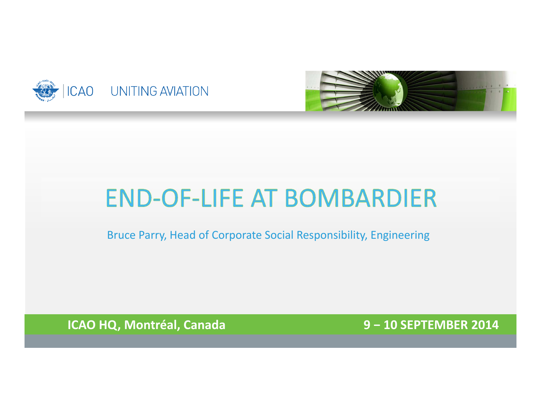



# **END-OF-LIFE AT BOMBARDIER** Bruce Parry, Head of Corporate Social Responsibility, Engineering**ICAO HQ, Montréal, Canada 9 <sup>−</sup>10 SEPTEMBER 2014**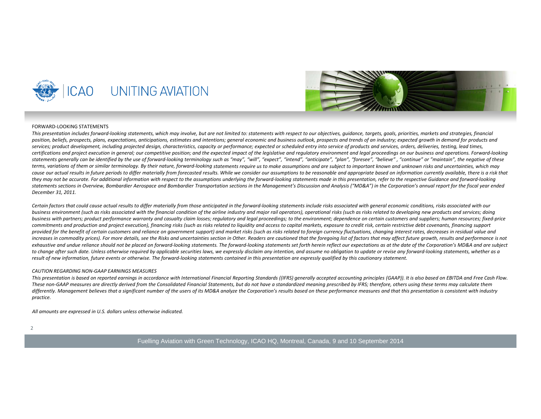



#### FORWARD‐LOOKING STATEMENTS

This presentation includes forward-looking statements, which may involve, but are not limited to: statements with respect to our objectives, guidance, targets, goals, priorities, markets and strategies, financial position, beliefs, prospects, plans, expectations, anticipations, estimates and intentions; general economic and business outlook, prospects and trends of an industry; expected arowth in demand for products and services; product development, including projected design, characteristics, capacity or performance; expected or scheduled entry into service of products and services, orders, deliveries, testing, lead times, certifications and project execution in general; our competitive position; and the expected impact of the legislative and requlatory environment and legal proceedings on our business and operations. Forward-looking statements generally can be identified by the use of forward-looking terminology such as "may", "will", "expect", "intend", "anticipate", "plan", "foresee", "believe" , "continue" or "maintain", the negative of these terms, variations of them or similar terminology. By their nature, forward-looking statements require us to make assumptions and are subject to important known and unknown risks and uncertainties. which may cause our actual results in future periods to differ materially from forecasted results. While we consider our assumptions to be reasonable and appropriate based on information currently available, there is a risk that they may not be accurate. For additional information with respect to the assumptions underlying the forward-looking statements made in this presentation, refer to the respective Guidance and forward-looking statements sections in Overview, Bombardier Aerospace and Bombardier Transportation sections in the Management's Discussion and Analysis ("MD&A") in the Corporation's annual report for the fiscal year ended *December 31, 2011.*

Certain factors that could cause actual results to differ materially from those anticipated in the forward-looking statements include risks associated with general economic conditions, risks associated with our business environment (such as risks associated with the financial condition of the airline industry and major rail operators), operational risks (such as risks related to developing new products and services; doing business with partners; product performance warranty and casualty claim losses; regulatory and legal proceedings; to the environment; dependence on certain customers and suppliers; human resources; fixed-price commitments and production and project execution), financing risks (such as risks related to liquidity and access to capital markets, exposure to credit risk, certain restrictive debt covenants, financing support provided for the benefit of certain customers and reliance on government support) and market risks (such as risks related to foreign currency fluctuations, changing interest rates, decreases in residual value and increases in commodity prices). For more details, see the Risks and uncertainties section in Other. Readers are cautioned that the foregoing list of factors that may affect future growth, results and performance is not exhaustive and undue reliance should not be placed on forward-looking statements. The forward-looking statements set forth herein reflect our expectations as at the date of the Corporation's MD&A and are subject to change after such date. Unless otherwise required by applicable securities laws, we expressly disclaim any intention, and assume no obligation to update or revise any forward-looking statements, whether as a result of new information, future events or otherwise. The forward-looking statements contained in this presentation are expressly qualified by this cautionary statement.

#### *CAUTION REGARDING NON‐GAAP EARNINGS MEASURES*

This presentation is based on reported earnings in accordance with International Financial Reporting Standards ((IFRS) generally accepted accounting principles (GAAP)). It is also based on EBITDA and Free Cash Flow. These non-GAAP measures are directly derived from the Consolidated Financial Statements, but do not have a standardized meaning prescribed by IFRS; therefore, others using these terms may calculate them differently. Management believes that a significant number of the users of its MD&A analyze the Corporation's results based on these performance measures and that this presentation is consistent with industry *practice.*

*All amounts are expressed in U.S. dollars unless otherwise indicated.*

2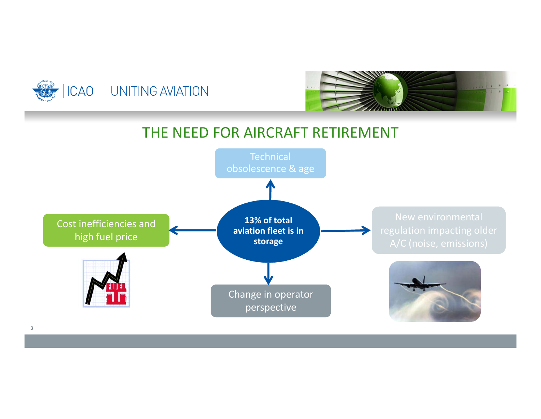



## THE NEED FOR AIRCRAFT RETIREMENT

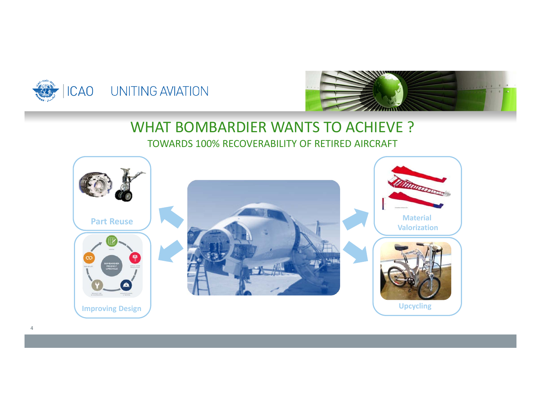

4



#### WHAT BOMBARDIER WANTS TO ACHIEVE ? TOWARDS 100% RECOVERABILITY OF RETIRED AIRCRAFT

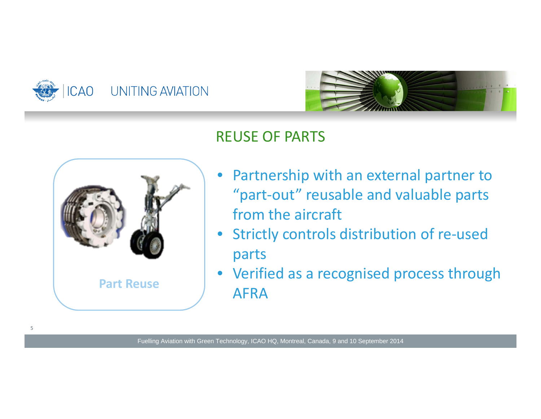



# REUSE OF PARTS



- Partnership with an external partner to "part‐out" reusable and valuable parts from the aircraft
- Strictly controls distribution of re‐used parts
- $\bullet$  Verified as <sup>a</sup> recognised process through AFRA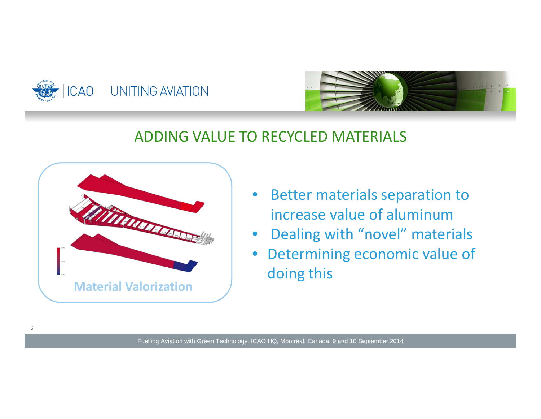



# ADDING VALUE TO RECYCLED MATERIALS



- •**•** Better materials separation to increase value of aluminum
- •Dealing with "novel" materials
- $\bullet$  Determining economic value of doing this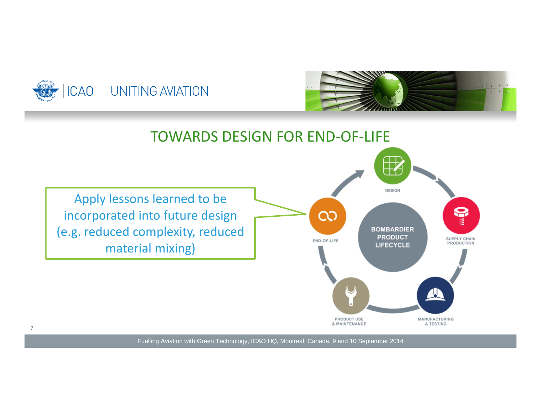



 $\boxplus'$ 

**DESIGN** 

**BOMBARDIER PRODUCT** 

**LIFECYCLE** 

လ

END-OF-LIFE

W

PRODUCT USE & MAINTENANCE **O** 

SUPPLY CHAIN

**PRODUCTION** 

MANUFACTURING

& TESTING

# TOWARDS DESIGN FOR END‐OF‐LIFE

Apply lessons learned to be incorporated into future design (e.g. reduced complexity, reduced material mixing)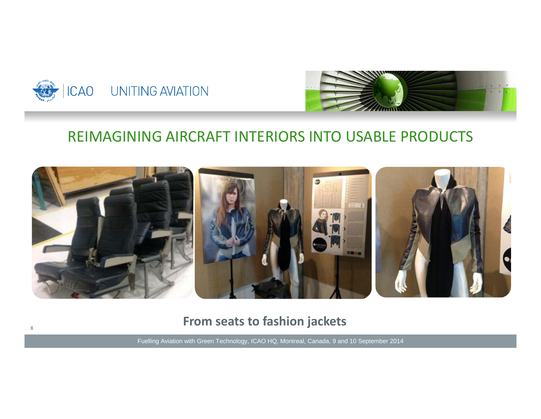



### REIMAGINING AIRCRAFT INTERIORS INTO USABLE PRODUCTS



**From seats to fashion jackets** 8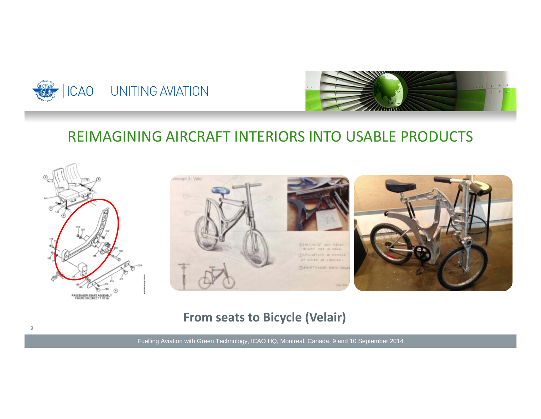



## REIMAGINING AIRCRAFT INTERIORS INTO USABLE PRODUCTS





#### **From seats to Bicycle (Velair)**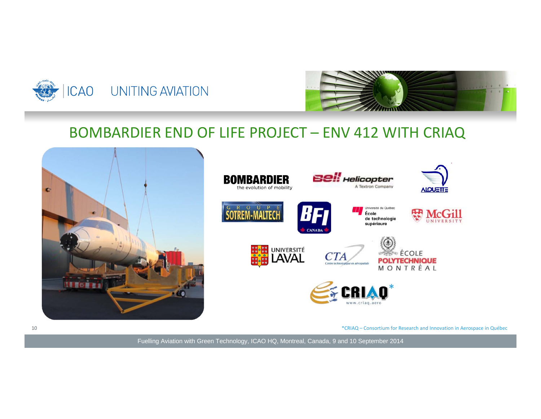



### BOMBARDIER END OF LIFE PROJECT – ENV 412 WITH CRIAQ





\*CRIAQ – Consortium for Research and Innovation in Aerospace in Québec